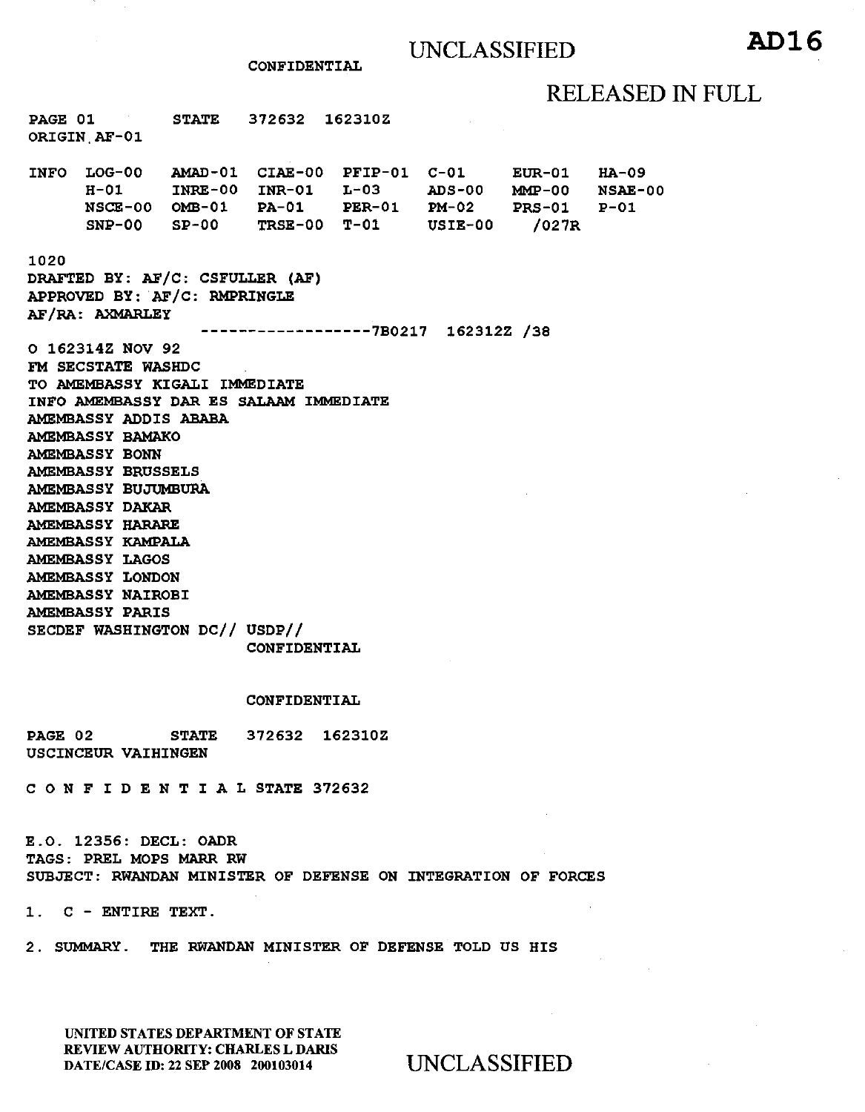# RELEASED IN FULL

PAGE 01 ORIGIN,AF-01 STATE 372632 162310Z INFO LOG-00 H-01 INRE-00 INR-01 L-03 ADS-00 MMP-00 NSAE-00 CIAE-00 PFIP-01 C-01 EUR-01 HA-09

NSCE-00 OMB-01 PA-01 SNP-00 SP-00 TRSE-00 T-01 USIE-00 /027R PER-01 PM-02 PRS-01 P-Ol

1020

DRAFTED BY: AF/C: CSFULLER (AF) APPROVED BY: AF/C: RMPRINGLE AF /RA: AXMARLEY

------------------7B0217 162312Z /38

CONFIDENTIAL

0 162314Z NOV 92 FM SECSTATE WASHDC TO AMEMBASSY KIGALI IMMEDIATE INFO AMEMBASSY DAR ES SALAAM IMMEDIATE AMEMBASSY ADDIS ABABA AMEMBASSY BAMAKO AMEMBASSY BONN AMEMBASSY BRUSSELS AMEMBASSY BUJUMBURA AMEMBASSY DAKAR AMEMBASSY HARARE AMEMBASSY KAMPALA AMEMBASSY LAGOS AMEMBASSY LONDON AMEMBASSY NAIROBI AMEMBASSY PARIS SECDEF WASHINGTON DC// USDP//

CONFIDENTIAL

### CONFIDENTIAL

PAGE 02 STATE 372632 162310Z USCINCEUR VAIHINGEN

C 0 N F I D E N T I A L STATE 372632

E.O. 12356: DECL: OADR TAGS: PREL MOPS MARR RW SUBJECT: RWANDAN MINISTER OF DEFENSE ON INTEGRATION OF FORCES

1. C - ENTIRE TEXT.

2. SUMMARY. THE RWANDAN MINISTER OF DEFENSE TOLD US HIS

UNITED STATES DEPARTMENT OF STATE REVIEW AUTHORITY: CHARLES L DARIS DATE/CASE ID: 22 SEP 2008 200103014 UNCLASSIFIED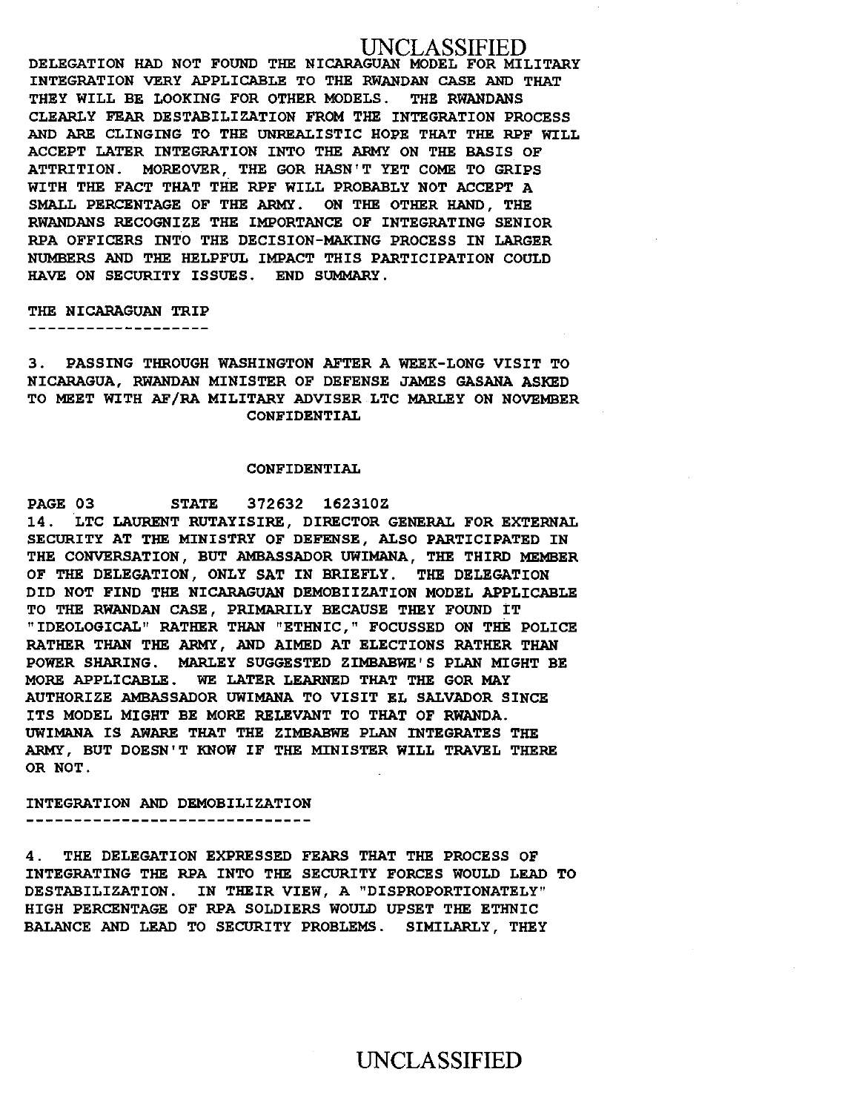## 'LASSIFIED

DELEGATION HAD NOT FOUND THE NICARAGUAN MODEL FOR MILITARY INTEGRATION VERY APPLICABLE TO THE RWANDAN CASE AND THAT THEY WILL BE LOOKING FOR OTHER MODELS. THE RWANDANS CLEARLY FEAR DESTABILIZATION FROM THE INTEGRATION PROCESS AND ARE CLINGING TO THE UNREALISTIC HOPE THAT THE RPF WILL ACCEPT LATER INTEGRATION INTO THE ARMY ON THE BASIS OF ATTRITION. MOREOVER, THE GOR HASN'T YET COME TO GRIPS WITH THE FACT THAT THE RPF WILL PROBABLY NOT ACCEPT A SMALL PERCENTAGE OF THE ARMY . ON THE OTHER HAND , THE RWANDANS RECOGNIZE THE IMPORTANCE OF INTEGRATING SENIOR RPA OFFICERS INTO THE DECISION-MAKING PROCESS IN LARGER NUMBERS AND THE HELPFUL IMPACT THIS PARTICIPATION COULD HAVE ON SECURITY ISSUES. END SUMMARY.

### THE NICARAGUAN TRIP

3. PASSING THROUGH WASHINGTON AFTER A WEEK-LONG VISIT TO NICARAGUA, RWANDAN MINISTER OF DEFENSE JAMES GASANA ASKED TO MEET WITH AF /RA MILITARY ADVISER LTC MARLEY ON NOVEMBER CONFIDENTIAL

### CONFIDENTIAL

PAGE 03 STATE 372632 162310Z 14. LTC LAURENT RUTAYISIRE, DIRECTOR GENERAL FOR EXTERNAL SECURITY AT THE MINISTRY OF DEFENSE, ALSO PARTICIPATED IN THE CONVERSATION, BUT AMBASSADOR UWIMANA, THE THIRD MEMBER OF THE DELEGATION, ONLY SAT IN BRIEFLY. THE DELEGATION DID NOT FIND THE NICARAGUAN DEMOBIIZATION MODEL APPLICABLE TO THE RWANDAN CASE, PRIMARILY BECAUSE THEY FOUND IT "IDEOLOGICAL" RATHER THAN "ETHNIC," FOCUSSED ON THE POLICE RATHER THAN THE ARMY, AND AIMED AT ELECTIONS RATHER THAN POWER SHARING. MARLEY SUGGESTED ZIMBABWE' S PLAN MIGHT BE MORE APPLICABLE. WE LATER LEARNED THAT THE GOR MAY AUTHORIZE AMBASSADOR UWIMANA TO VISIT EL SALVADOR SINCE ITS MODEL MIGHT BE MORE RELEVANT TO THAT OF RWANDA. UWIMANA IS AWARE THAT THE ZIMBABWE PLAN INTEGRATES THE ARMY, BUT DOESN'T KNOW IF THE MINISTER WILL TRAVEL THERE OR NOT.

#### INTEGRATION AND DEMOBILIZATION ------**--------------------**-

4. THE DELEGATION EXPRESSED FEARS THAT THE PROCESS OF INTEGRATING THE RPA INTO THE SECURITY FORCES WOULD LEAD TO DESTABILIZATION. IN THEIR VIEW, A "DISPROPORTIONATELY" HIGH PERCENTAGE OF RPA SOLDIERS WOULD UPSET THE ETHNIC BALANCE AND LEAD TO SECURITY PROBLEMS. SIMILARLY, THEY

## UNCLASSIFIED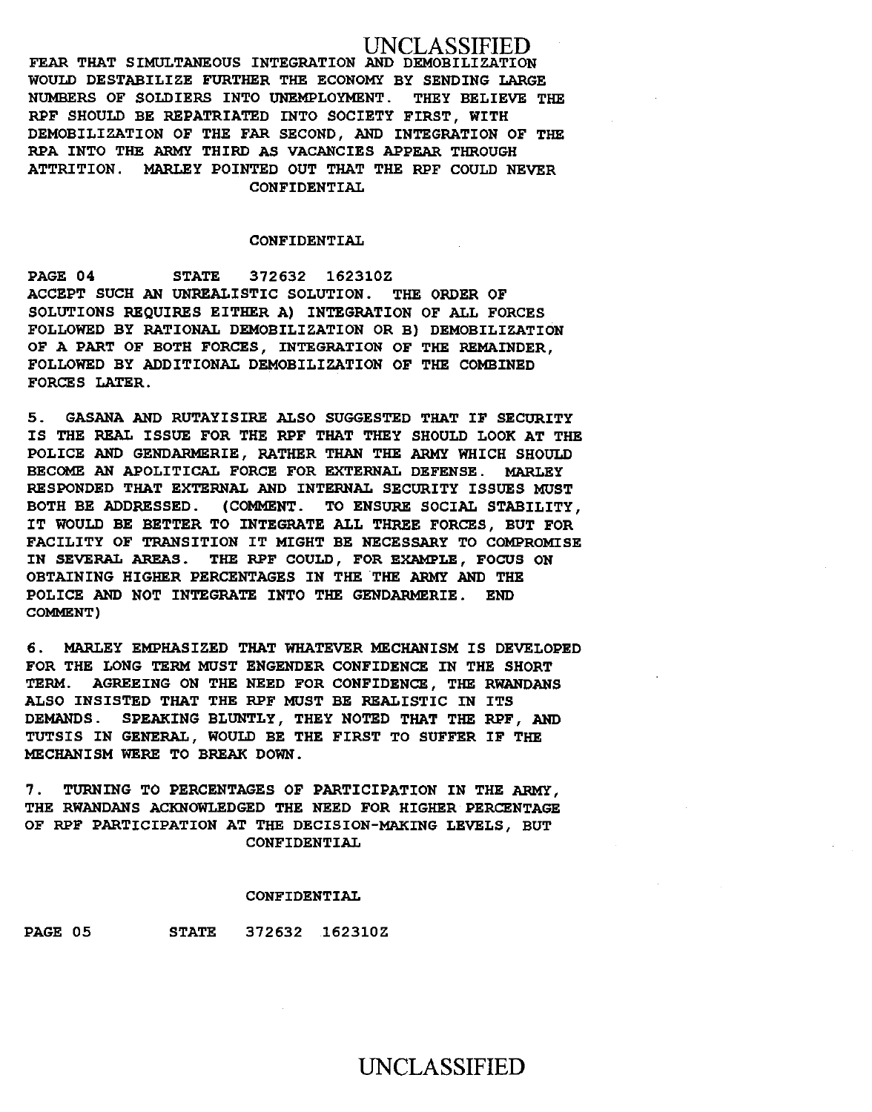## UNCLASSIFIED

FEAR THAT SIMULTANEOUS INTEGRATION AND DEMOBILIZATION WOULD DESTABILIZE FURTHER THE ECONOMY BY SENDING LARGE NUMBERS OF SOLDIERS INTO UNEMPLOYMENT. THEY BELIEVE THE RPF SHOULD BE REPATRIATED INTO SOCIETY FIRST, WITH DEMOBILIZATION OF THE FAR SECOND, AND INTEGRATION OF THE RPA INTO THE ARMY THIRD AS VACANCIES APPEAR THROUGH ATTRITION. MARLEY POINTED OUT THAT THE RPF COULD NEVER CONFIDENTIAL

### CONFIDENTIAL

PAGE 04 STATE 372632 162310Z ACCEPT SUCH AN UNREALISTIC SOLUTION. THE ORDER OF SOLUTIONS REQUIRES EITHER A) INTEGRATION OF ALL FORCES FOLLOWED BY RATIONAL DEMOBILIZATION OR B) DEMOBILIZATION OF A PART OF BOTH FORCES, INTEGRATION OF THE REMAINDER, FOLLOWED BY ADDITIONAL DEMOBILIZATION OF THE COMBINED FORCES LATER.

5. GASANA AND RUTAYISIRE ALSO SUGGESTED THAT IF SECURITY IS THE REAL ISSUE FOR THE RPF THAT THEY SHOULD LOOK AT THE POLICE AND GENDARMERIE, RATHER THAN THE ARMY WHICH SHOULD BECOME AN APOLITICAL FORCE FOR EXTERNAL DEFENSE. MARLEY RESPONDED THAT EXTERNAL AND INTERNAL SECURITY ISSUES MUST BOTH BE ADDRESSED. (COMMENT. TO ENSURE SOCIAL STABILITY, IT WOULD BE BETTER TO INTEGRATE ALL THREE FORCES, BUT FOR FACILITY OF TRANSITION IT MIGHT BE NECESSARY TO COMPROMISE IN SEVERAL AREAS. THE RPF COULD, FOR EXAMPLE, FOCUS ON OBTAINING HIGHER PERCENTAGES IN THE THE ARMY AND THE POLICE AND NOT INTEGRATE INTO THE GENDARMERIE. END COMMENT)

6. MARLEY EMPHASIZED THAT WHATEVER MECHANISM IS DEVELOPED FOR THE LONG TERM MUST ENGENDER CONFIDENCE IN THE SHORT TERM. AGREEING ON THE NEED FOR CONFIDENCE, THE RWANDANS ALSO INSISTED THAT THE RPF MUST BE REALISTIC IN ITS DEMANDS. SPEAKING BLUNTLY, THEY NOTED THAT THE RPF, AND TUTSIS IN GENERAL, WOULD BE THE FIRST TO SUFFER IF THE MECHANISM WERE TO BREAK DOWN.

7. TURNING TO PERCENTAGES OF PARTICIPATION IN THE ARMY, THE RWANDANS ACKNOWLEDGED THE NEED FOR HIGHER PERCENTAGE OF RPF PARTICIPATION AT THE DECISION-MAKING LEVELS, BUT CONFIDENTIAL

#### CONFIDENTIAL

PAGE 05 STATE 372632 162310Z

## UNCLASSIFIED